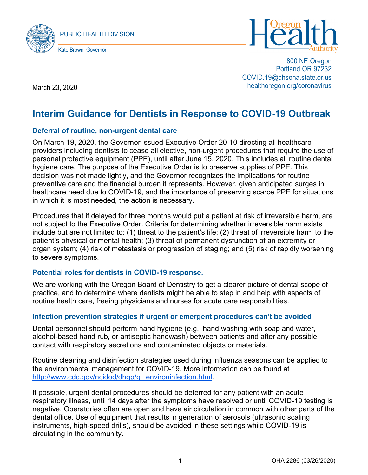



800 NE Oregon Portland OR 97232 COVID.19@dhsoha.state.or.us healthoregon.org/coronavirus

March 23, 2020

# **Interim Guidance for Dentists in Response to COVID-19 Outbreak**

### **Deferral of routine, non-urgent dental care**

On March 19, 2020, the Governor issued Executive Order 20-10 directing all healthcare providers including dentists to cease all elective, non-urgent procedures that require the use of personal protective equipment (PPE), until after June 15, 2020. This includes all routine dental hygiene care. The purpose of the Executive Order is to preserve supplies of PPE. This decision was not made lightly, and the Governor recognizes the implications for routine preventive care and the financial burden it represents. However, given anticipated surges in healthcare need due to COVID-19, and the importance of preserving scarce PPE for situations in which it is most needed, the action is necessary.

Procedures that if delayed for three months would put a patient at risk of irreversible harm, are not subject to the Executive Order. Criteria for determining whether irreversible harm exists include but are not limited to: (1) threat to the patient's life; (2) threat of irreversible harm to the patient's physical or mental health; (3) threat of permanent dysfunction of an extremity or organ system; (4) risk of metastasis or progression of staging; and (5) risk of rapidly worsening to severe symptoms.

### **Potential roles for dentists in COVID-19 response.**

We are working with the Oregon Board of Dentistry to get a clearer picture of dental scope of practice, and to determine where dentists might be able to step in and help with aspects of routine health care, freeing physicians and nurses for acute care responsibilities.

### **Infection prevention strategies if urgent or emergent procedures can't be avoided**

Dental personnel should perform hand hygiene (e.g., hand washing with soap and water, alcohol-based hand rub, or antiseptic handwash) between patients and after any possible contact with respiratory secretions and contaminated objects or materials.

Routine cleaning and disinfection strategies used during influenza seasons can be applied to the environmental management for COVID-19. More information can be found at [http://www.cdc.gov/ncidod/dhqp/gl\\_environinfection.html.](http://www.cdc.gov/ncidod/dhqp/gl_environinfection.html)

If possible, urgent dental procedures should be deferred for any patient with an acute respiratory illness, until 14 days after the symptoms have resolved or until COVID-19 testing is negative. Operatories often are open and have air circulation in common with other parts of the dental office. Use of equipment that results in generation of aerosols (ultrasonic scaling instruments, high-speed drills), should be avoided in these settings while COVID-19 is circulating in the community.